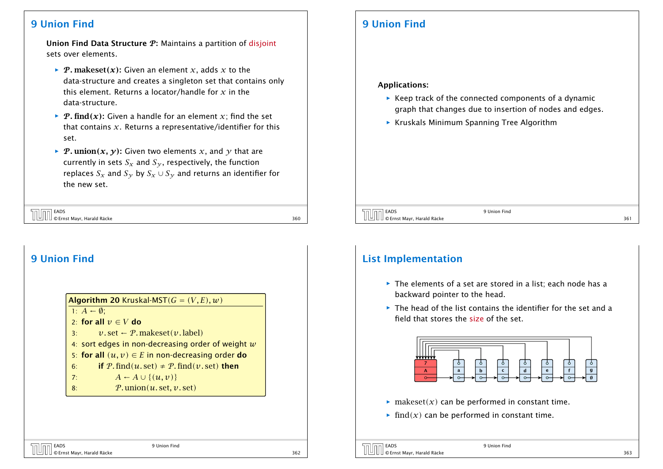### 9 Union Find

Union Find Data Structure  $P$ : Maintains a partition of disjoint sets over elements.

- *P*. makeset(x): Given an element x, adds x to the data-structure and creates a singleton set that contains only this element. Returns a locator/handle for *x* in the data-structure.
- $\rightarrow$  **P.** find(x): Given a handle for an element x; find the set that contains *x*. Returns a representative/identifier for this set.
- *P.* **union** $(x, y)$ : Given two elements *x*, and *y* that are currently in sets  $S_x$  and  $S_y$ , respectively, the function replaces  $S_x$  and  $S_y$  by  $S_x \cup S_y$  and returns an identifier for the new set.

EADS © Ernst Mayr, Harald Räcke 360

## 9 Union Find

Algorithm 20 Kruskal-MST $(G = (V, E), w)$ 1:  $A \leftarrow \emptyset$ : 2: for all  $v \in V$  do 3:  $v \text{. set } \leftarrow P \text{. makes } v \text{. label}$ 4: sort edges in non-decreasing order of weight *w* 5: for all  $(u, v) \in E$  in non-decreasing order do 6: **if** P. find(u. set)  $\neq$  P. find(v. set) then 7:  $A \leftarrow A \cup \{(u, v)\}$ 8: P*.* union*(u.* set*, v.* set*)*

## 9 Union Find

### Applications:

- **▶ Keep track of the connected components of a dynamic** graph that changes due to insertion of nodes and edges.
- **Kruskals Minimum Spanning Tree Algorithm**

#### EADS 9 Union Find © Ernst Mayr, Harald Räcke 361

## List Implementation

- **Fig. 2** The elements of a set are stored in a list; each node has a backward pointer to the head.
- ▶ The head of the list contains the identifier for the set and a field that stores the size of the set.



- $\triangleright$  makeset(x) can be performed in constant time.
- $\blacktriangleright$  find $(x)$  can be performed in constant time.

EADS 9 Union Find © Ernst Mayr, Harald Räcke 362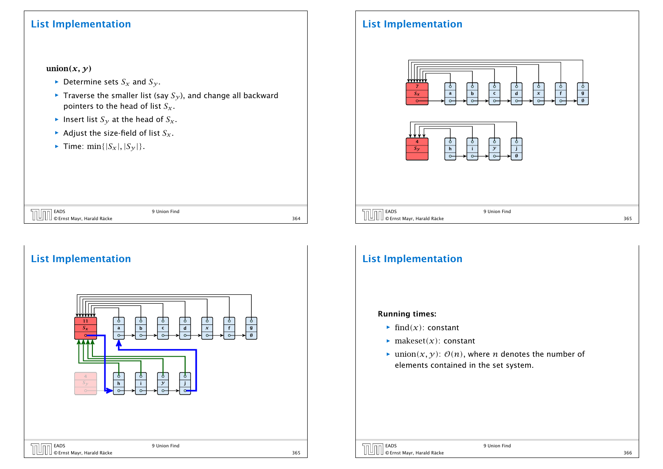### List Implementation

### union $(x, y)$

- $\blacktriangleright$  Determine sets  $S_x$  and  $S_y$ .
- $\blacktriangleright$  Traverse the smaller list (say  $S_{\gamma}$ ), and change all backward pointers to the head of list *Sx*.

© Ernst Mayr, Harald Räcke 364

- $\blacktriangleright$  Insert list  $S_{\gamma}$  at the head of  $S_{\chi}$ .
- $\blacktriangleright$  Adjust the size-field of list  $S_x$ .

EADS 9 Union Find

EADS 9 Union Find

▶ Time:  $\min\{|S_{X}|, |S_{Y}|\}.$ 

## List Implementation



# List Implementation

| www<br>v۱<br>$\mathbf{1}$<br>$S_x$<br>$\circ$  | P<br>P<br>Ó<br>Ò<br>Ô<br>Ô<br>Ô<br>$\boldsymbol{g}$<br>$\mathsf{c}$<br>$\mathsf f$<br>$\pmb{\chi}$<br>$\mathbf d$<br>$\bold{b}$<br>a<br>Ø<br>$\circ$<br>$\circ$<br>$\circ$<br>$\circ$<br>$\circ$<br>$\circ$ |
|------------------------------------------------|-------------------------------------------------------------------------------------------------------------------------------------------------------------------------------------------------------------|
| $\overline{4}$<br>$S_{\mathcal{V}}$<br>$\circ$ | $\circ$<br>Ō<br>Ō<br>Ō<br>$\mathcal{Y}$<br>j<br>$\mathbf h$<br>i.<br>$\circ$<br>$\circ$<br>$\circ$<br>$\circ$                                                                                               |
|                                                |                                                                                                                                                                                                             |

© Ernst Mayr, Harald Räcke 365

## List Implementation

### Running times:

- $\blacktriangleright$  find $(x)$ : constant
- $\blacktriangleright$  makeset $(x)$ : constant
- $\blacktriangleright$  union $(x, y)$ :  $\mathcal{O}(n)$ , where *n* denotes the number of elements contained in the set system.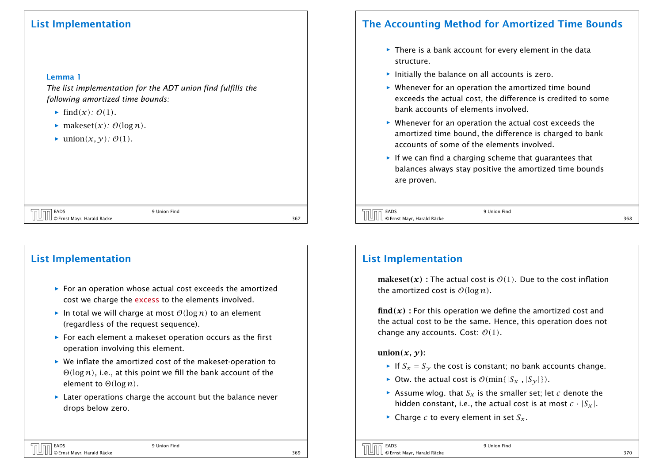### List Implementation

#### Lemma 1

*The list implementation for the ADT union find fulfills the following amortized time bounds:*

- $\blacktriangleright$  find $(x)$ *: 0(1).*
- $\blacktriangleright$  makeset $(x)$ *:*  $\mathcal{O}(\log n)$ *.*
- $\blacktriangleright$  union $(x, y)$ *:*  $\mathcal{O}(1)$ *.*

| <b>MANES EADS</b><br>O Ernst Mayr, Harald Räcke | 9 Union Find |  |
|-------------------------------------------------|--------------|--|
|                                                 |              |  |

## List Implementation

- ▶ For an operation whose actual cost exceeds the amortized cost we charge the excess to the elements involved.
- $\blacktriangleright$  In total we will charge at most  $O(\log n)$  to an element (regardless of the request sequence).
- ▶ For each element a makeset operation occurs as the first operation involving this element.
- **▶ We inflate the amortized cost of the makeset-operation to** Θ*(*log *n)*, i.e., at this point we fill the bank account of the element to Θ*(*log *n)*.
- **▶ Later operations charge the account but the balance never** drops below zero.

## The Accounting Method for Amortized Time Bounds

- **FI** There is a bank account for every element in the data structure.
- $\blacktriangleright$  Initially the balance on all accounts is zero.
- ▶ Whenever for an operation the amortized time bound exceeds the actual cost, the difference is credited to some bank accounts of elements involved.
- ▶ Whenever for an operation the actual cost exceeds the amortized time bound, the difference is charged to bank accounts of some of the elements involved.
- **Follo** If we can find a charging scheme that guarantees that balances always stay positive the amortized time bounds are proven.

```
© Ernst Mayr, Harald Räcke 368
```
EADS 9 Union Find

## List Implementation

makeset(x) : The actual cost is  $\mathcal{O}(1)$ . Due to the cost inflation the amortized cost is  $O(log n)$ .

 $find(x)$ : For this operation we define the amortized cost and the actual cost to be the same. Hence, this operation does not change any accounts. Cost: O*(*1*)*.

### union $(x, y)$ :

- If  $S_x = S_y$  the cost is constant; no bank accounts change.
- $\triangleright$  Otw. the actual cost is  $\mathcal{O}(\min\{|S_x|, |S_y|\})$ .
- Assume wlog. that  $S_x$  is the smaller set; let *c* denote the hidden constant, i.e., the actual cost is at most  $c \cdot |S_x|$ .
- $\blacktriangleright$  Charge *c* to every element in set  $S_x$ .

 $\overline{CD}$  EADS 9 Union Find © Ernst Mayr, Harald Räcke 370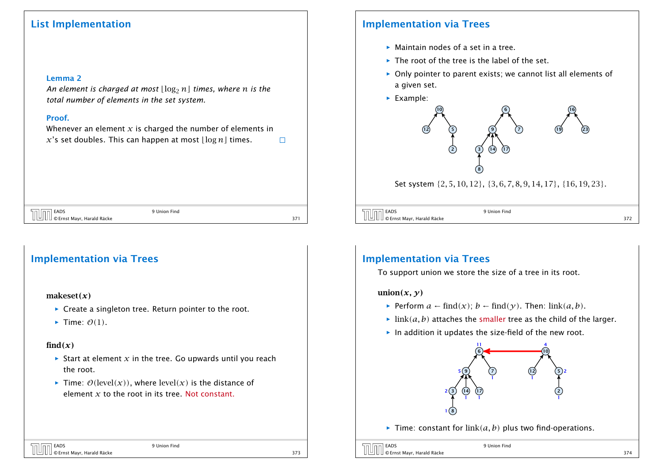### List Implementation

#### Lemma 2

*An element is charged at most*  $\lfloor \log_2 n \rfloor$  *times, where n is the total number of elements in the set system.*

### Proof.

Whenever an element  $x$  is charged the number of elements in  $x$ 's set doubles. This can happen at most  $\lfloor \log n \rfloor$  times.  $\Box$ 

EADS 9 Union Find © Ernst Mayr, Harald Räcke 371

### Implementation via Trees

#### makeset*(x)*

- **▶ Create a singleton tree. Return pointer to the root.**
- $\blacktriangleright$  Time:  $\mathcal{O}(1)$ .

### $find(x)$

- $\triangleright$  Start at element *x* in the tree. Go upwards until you reach the root.
- $\triangleright$  Time:  $\mathcal{O}(\text{level}(x))$ , where level $(x)$  is the distance of element *x* to the root in its tree. Not constant.

## Implementation via Trees

- **Maintain nodes of a set in a tree.**
- ► The root of the tree is the label of the set.
- **▶ Only pointer to parent exists; we cannot list all elements of** a given set.



Set system {2*,* 5*,* 10*,* 12}, {3*,* 6*,* 7*,* 8*,* 9*,* 14*,* 17}, {16*,* 19*,* 23}.

| EADS<br>بالمظ                       | 9 Union Find |  |
|-------------------------------------|--------------|--|
| U  브 U U © Ernst Mayr, Harald Räcke |              |  |

### Implementation via Trees

To support union we store the size of a tree in its root.

### union $(x, y)$

- *►* Perform  $a \leftarrow \text{find}(x)$ ;  $b \leftarrow \text{find}(\gamma)$ . Then: link $(a, b)$ .
- $\blacktriangleright$  link $(a, b)$  attaches the smaller tree as the child of the larger.
- $\blacktriangleright$  In addition it updates the size-field of the new root.



 $\blacktriangleright$  Time: constant for  $\text{link}(a, b)$  plus two find-operations.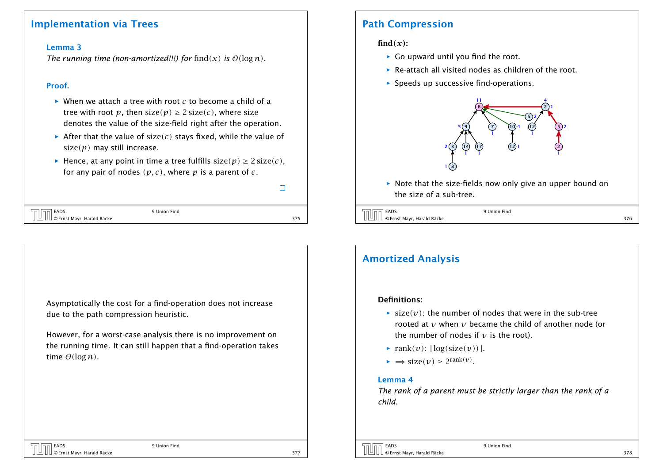### Implementation via Trees

#### Lemma 3

*The running time (non-amortized!!!) for*  $\text{find}(x)$  *is*  $\mathcal{O}(\log n)$ *.* 

#### Proof.

- $\blacktriangleright$  When we attach a tree with root *c* to become a child of a tree with root *p*, then  $size(p) \geq 2size(c)$ , where size denotes the value of the size-field right after the operation.
- After that the value of size(c) stays fixed, while the value of size*(p)* may still increase.
- *►* Hence, at any point in time a tree fulfills  $size(p) \geq 2size(c)$ , for any pair of nodes *(p, c)*, where *p* is a parent of *c*.

 $\Box$ 

| <b>THE EADS</b><br>C Ernst Mayr, Harald Räcke | 9 Union Find |  |
|-----------------------------------------------|--------------|--|
|                                               |              |  |

Asymptotically the cost for a find-operation does not increase due to the path compression heuristic.

However, for a worst-case analysis there is no improvement on the running time. It can still happen that a find-operation takes time  $O(\log n)$ .

### Path Compression

### $find(x)$ :

- **►** Go upward until you find the root.
- **F** Re-attach all visited nodes as children of the root.
- $\triangleright$  Speeds up successive find-operations.



 $\triangleright$  Note that the size-fields now only give an upper bound on the size of a sub-tree.

| 9 Union Find |  |
|--------------|--|

## Amortized Analysis

### Definitions:

- $\blacktriangleright$  size $(v)$ : the number of nodes that were in the sub-tree rooted at *v* when *v* became the child of another node (or the number of nodes if  $\nu$  is the root).
- $\blacktriangleright$  rank $(v)$ :  $\lfloor \log(\text{size}(v)) \rfloor$ .
- $\blacktriangleright \implies$  size $(v) \geq 2^{\text{rank}(v)}$ .

### Lemma 4

*The rank of a parent must be strictly larger than the rank of a child.*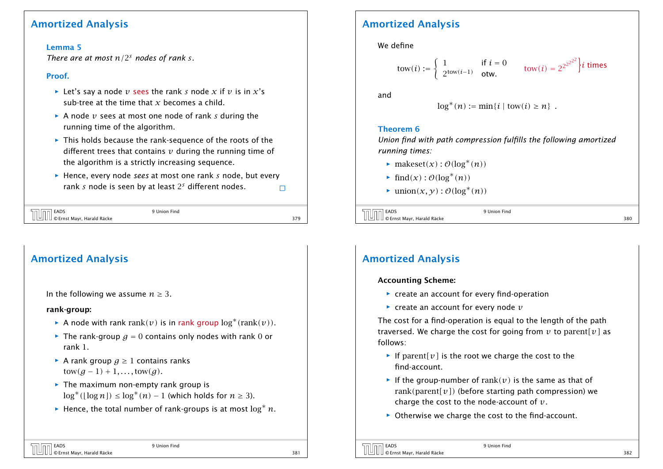### Amortized Analysis

### Lemma 5

*There are at most*  $n/2<sup>s</sup>$  *nodes of rank s.* 

### Proof.

- $\blacktriangleright$  Let's say a node *v* sees the rank *s* node *x* if *v* is in *x*'s sub-tree at the time that *x* becomes a child.
- $\triangleright$  A node *v* sees at most one node of rank *s* during the running time of the algorithm.
- **Fig.** This holds because the rank-sequence of the roots of the different trees that contains *v* during the running time of the algorithm is a strictly increasing sequence.
- **▶ Hence, every node** *sees* at most one rank *s* node, but every rank *s* node is seen by at least 2 *<sup>s</sup>* different nodes.  $\Box$

| 9 Union Find |     |
|--------------|-----|
|              | 37Q |

## Amortized Analysis In the following we assume  $n \geq 3$ . rank-group: ► A node with rank rank $(v)$  is in rank group  $\log^*(rank(v))$ .  $\blacktriangleright$  The rank-group  $q = 0$  contains only nodes with rank 0 or rank 1. *<sup>ñ</sup>* A rank group *g* ≥ 1 contains ranks  $tow(g-1) + 1, \ldots, tow(g)$ . **Fig.** The maximum non-empty rank group is  $\log^*$ ([log *n*]) ≤  $\log^*(n)$  − 1 (which holds for *n* ≥ 3).

*<sup>ñ</sup>* Hence, the total number of rank-groups is at most log<sup>∗</sup> *n*.

## Amortized Analysis

We define

\n
$$
\text{tow}(i) := \n \begin{cases}\n 1 & \text{if } i = 0 \\
 2^{\text{tow}(i-1)} & \text{otw.}\n \end{cases}\n \quad\n \text{tow}(i) = 2^{2^{2^{2^{2}}}} \n \begin{cases}\n i & \text{times}\n \end{cases}
$$
\n

and

$$
\log^*(n) := \min\{i \mid \text{tow}(i) \geq n\} .
$$

### Theorem 6

*Union find with path compression fulfills the following amortized running times:*

- *►* makeset $(x)$ :  $\mathcal{O}(\log^*(n))$
- *►* find $(x)$ :  $\mathcal{O}(\log^*(n))$
- $\blacktriangleright$  union(*x*, *y*) :  $\mathcal{O}(\log^*(n))$

| EADS                               | 9 Union Find |     |
|------------------------------------|--------------|-----|
| U 브 U U © Ernst Mayr, Harald Räcke |              | 380 |

## Amortized Analysis

### Accounting Scheme:

- ▶ create an account for every find-operation
- $\blacktriangleright$  create an account for every node  $v$

The cost for a find-operation is equal to the length of the path traversed. We charge the cost for going from  $v$  to parent  $[v]$  as follows:

- **Figure 1** If parent  $[v]$  is the root we charge the cost to the find-account.
- **Fig. 1** If the group-number of rank $(v)$  is the same as that of rank*(*parent*[v])* (before starting path compression) we charge the cost to the node-account of *v*.
- ▶ Otherwise we charge the cost to the find-account.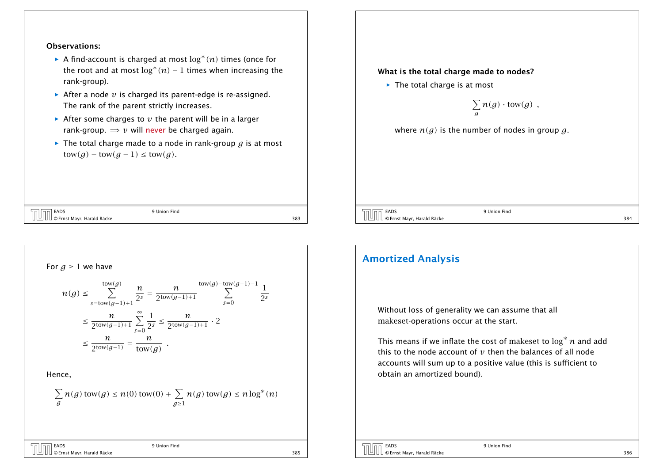#### Observations:

- *ñ* A find-account is charged at most log∗ *(n)* times (once for the root and at most  $\log^*(n) - 1$  times when increasing the rank-group).
- $\blacktriangleright$  After a node  $v$  is charged its parent-edge is re-assigned. The rank of the parent strictly increases.
- $\triangleright$  After some charges to  $v$  the parent will be in a larger rank-group.  $\Rightarrow$  *v* will never be charged again.
- *ñ* The total charge made to a node in rank-group *g* is at most  $\text{tow}(g) - \text{tow}(g-1) \leq \text{tow}(g)$ .

### EADS 9 Union Find © Ernst Mayr, Harald Räcke 383

#### What is the total charge made to nodes?

**►** The total charge is at most

$$
\sum_{g} n(g) \cdot \mathrm{tow}(g) ,
$$

where  $n(g)$  is the number of nodes in group g.

| EADS<br>Union Find                 |     |
|------------------------------------|-----|
| U 브 U U © Ernst Mayr, Harald Räcke | 384 |

For 
$$
g \ge 1
$$
 we have  
\n
$$
n(g) \le \sum_{s=\text{tow}(g-1)+1}^{\text{tow}(g)} \frac{n}{2^s} = \frac{n}{2^{\text{tow}(g-1)+1}} \sum_{s=0}^{\text{tow}(g)-\text{tow}(g-1)-1} \frac{1}{2^s}
$$
\n
$$
\le \frac{n}{2^{\text{tow}(g-1)+1}} \sum_{s=0}^{\infty} \frac{1}{2^s} \le \frac{n}{2^{\text{tow}(g-1)+1}} \cdot 2
$$
\n
$$
\le \frac{n}{2^{\text{tow}(g-1)}} = \frac{n}{\text{tow}(g)}
$$
\nHence,  
\n
$$
\sum_{g} n(g) \text{tow}(g) \le n(0) \text{tow}(0) + \sum_{g \ge 1} n(g) \text{tow}(g) \le n \log^*(n)
$$

© Ernst Mayr, Harald Räcke 385

EADS 9 Union Find

1 2*s*

### Amortized Analysis

Without loss of generality we can assume that all makeset-operations occur at the start.

This means if we inflate the cost of makeset to log<sup>∗</sup> *n* and add this to the node account of *v* then the balances of all node accounts will sum up to a positive value (this is sufficient to obtain an amortized bound).